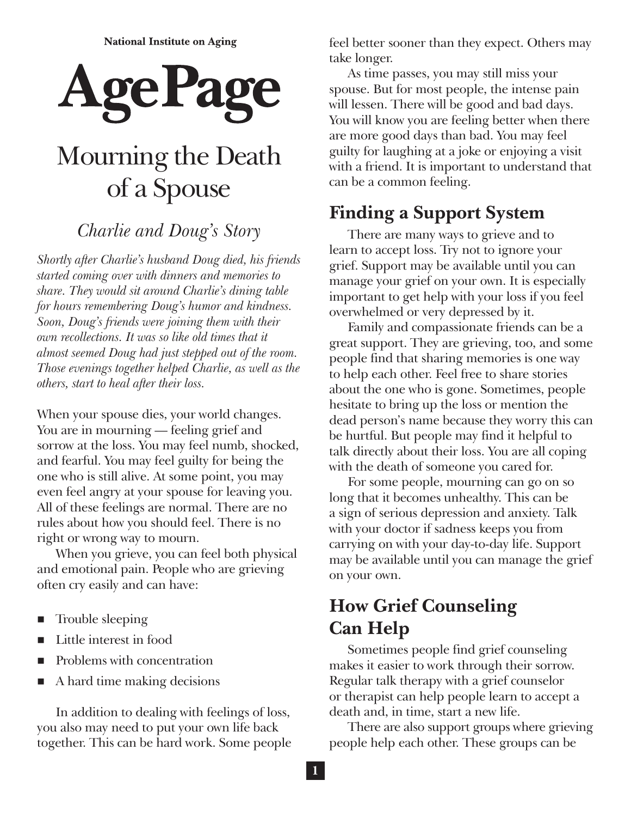**National Institute on Aging** 

# AgePage

## Mourning the Death of a Spouse

#### *Charlie and Doug's Story*

*Shortly after Charlie's husband Doug died, his friends started coming over with dinners and memories to share. They would sit around Charlie's dining table for hours remembering Doug's humor and kindness. Soon, Doug's friends were joining them with their own recollections. It was so like old times that it almost seemed Doug had just stepped out of the room. Those evenings together helped Charlie, as well as the others, start to heal after their loss.* 

When your spouse dies, your world changes. You are in mourning — feeling grief and sorrow at the loss. You may feel numb, shocked, and fearful. You may feel guilty for being the one who is still alive. At some point, you may even feel angry at your spouse for leaving you. All of these feelings are normal. There are no rules about how you should feel. There is no right or wrong way to mourn.

When you grieve, you can feel both physical and emotional pain. People who are grieving often cry easily and can have:

- $\blacksquare$  Trouble sleeping
- Little interest in food
- Problems with concentration
- A hard time making decisions

In addition to dealing with feelings of loss, you also may need to put your own life back together. This can be hard work. Some people feel better sooner than they expect. Others may take longer.

As time passes, you may still miss your spouse. But for most people, the intense pain will lessen. There will be good and bad days. You will know you are feeling better when there are more good days than bad. You may feel guilty for laughing at a joke or enjoying a visit with a friend. It is important to understand that can be a common feeling.

## **Finding a Support System**

There are many ways to grieve and to learn to accept loss. Try not to ignore your grief. Support may be available until you can manage your grief on your own. It is especially important to get help with your loss if you feel overwhelmed or very depressed by it.

Family and compassionate friends can be a great support. They are grieving, too, and some people find that sharing memories is one way to help each other. Feel free to share stories about the one who is gone. Sometimes, people hesitate to bring up the loss or mention the dead person's name because they worry this can be hurtful. But people may find it helpful to talk directly about their loss. You are all coping with the death of someone you cared for.

For some people, mourning can go on so long that it becomes unhealthy. This can be a sign of serious depression and anxiety. Talk with your doctor if sadness keeps you from carrying on with your day-to-day life. Support may be available until you can manage the grief on your own.

#### **How Grief Counseling Can Help**

Sometimes people find grief counseling makes it easier to work through their sorrow. Regular talk therapy with a grief counselor or therapist can help people learn to accept a death and, in time, start a new life.

There are also support groups where grieving people help each other. These groups can be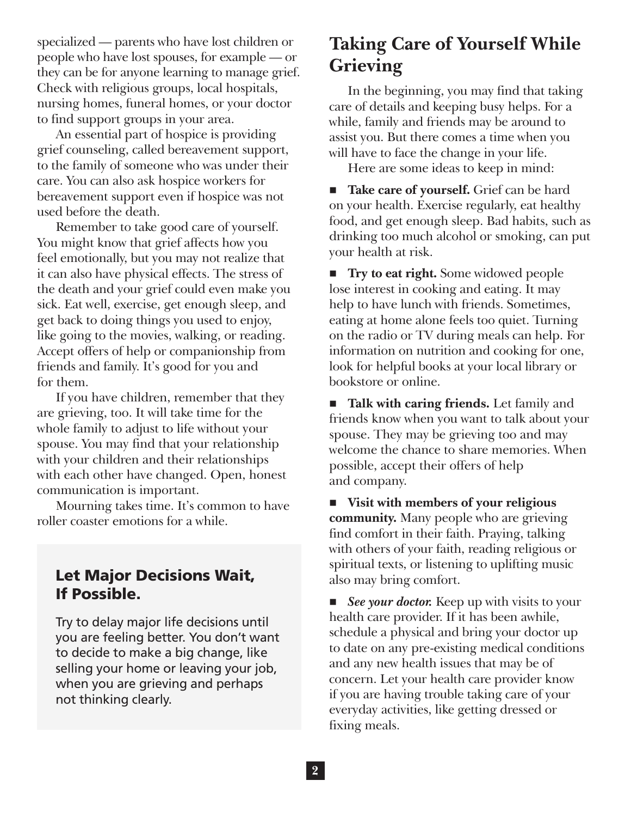specialized — parents who have lost children or people who have lost spouses, for example — or they can be for anyone learning to manage grief. Check with religious groups, local hospitals, nursing homes, funeral homes, or your doctor to find support groups in your area.

An essential part of hospice is providing grief counseling, called bereavement support, to the family of someone who was under their care. You can also ask hospice workers for bereavement support even if hospice was not used before the death.

Remember to take good care of yourself. You might know that grief affects how you feel emotionally, but you may not realize that it can also have physical effects. The stress of the death and your grief could even make you sick. Eat well, exercise, get enough sleep, and get back to doing things you used to enjoy, like going to the movies, walking, or reading. Accept offers of help or companionship from friends and family. It's good for you and for them.

If you have children, remember that they are grieving, too. It will take time for the whole family to adjust to life without your spouse. You may find that your relationship with your children and their relationships with each other have changed. Open, honest communication is important.

Mourning takes time. It's common to have roller coaster emotions for a while.

#### Let Major Decisions Wait, If Possible.

Try to delay major life decisions until you are feeling better. You don't want to decide to make a big change, like selling your home or leaving your job, when you are grieving and perhaps not thinking clearly.

## **Taking Care of Yourself While Grieving**

In the beginning, you may find that taking care of details and keeping busy helps. For a while, family and friends may be around to assist you. But there comes a time when you will have to face the change in your life.

Here are some ideas to keep in mind:

■ Take care of yourself. Grief can be hard on your health. Exercise regularly, eat healthy food, and get enough sleep. Bad habits, such as drinking too much alcohol or smoking, can put your health at risk.

**Try to eat right.** Some widowed people lose interest in cooking and eating. It may help to have lunch with friends. Sometimes, eating at home alone feels too quiet. Turning on the radio or TV during meals can help. For information on nutrition and cooking for one, look for helpful books at your local library or bookstore or online.

**Talk with caring friends.** Let family and friends know when you want to talk about your spouse. They may be grieving too and may welcome the chance to share memories. When possible, accept their offers of help and company.

 **Visit with members of your religious community.** Many people who are grieving find comfort in their faith. Praying, talking with others of your faith, reading religious or spiritual texts, or listening to uplifting music also may bring comfort.

■ *See your doctor.* Keep up with visits to your health care provider. If it has been awhile, schedule a physical and bring your doctor up to date on any pre-existing medical conditions and any new health issues that may be of concern. Let your health care provider know if you are having trouble taking care of your everyday activities, like getting dressed or fixing meals.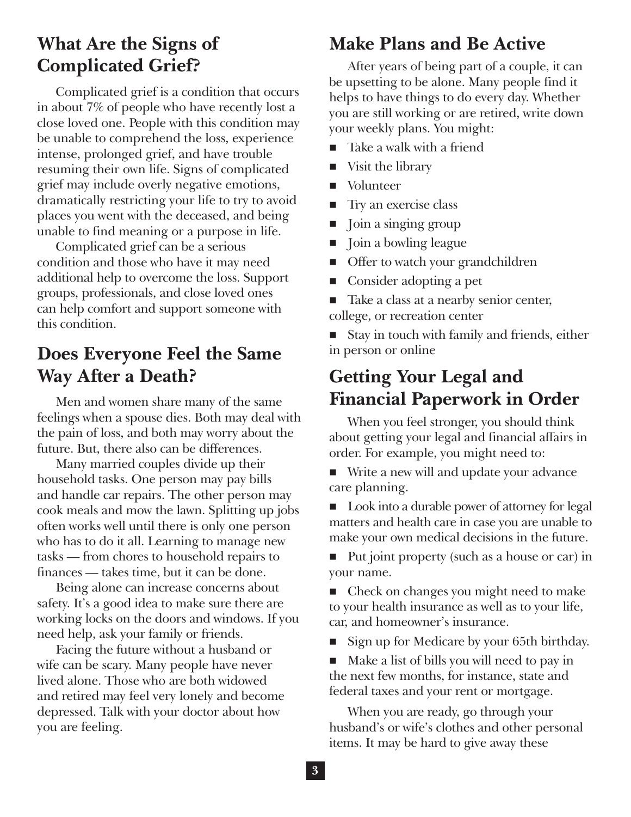#### **What Are the Signs of Complicated Grief?**

Complicated grief is a condition that occurs in about 7% of people who have recently lost a close loved one. People with this condition may be unable to comprehend the loss, experience intense, prolonged grief, and have trouble resuming their own life. Signs of complicated grief may include overly negative emotions, dramatically restricting your life to try to avoid places you went with the deceased, and being unable to find meaning or a purpose in life.

Complicated grief can be a serious condition and those who have it may need additional help to overcome the loss. Support groups, professionals, and close loved ones can help comfort and support someone with this condition.

#### **Does Everyone Feel the Same Way After a Death?**

Men and women share many of the same feelings when a spouse dies. Both may deal with the pain of loss, and both may worry about the future. But, there also can be differences.

Many married couples divide up their household tasks. One person may pay bills and handle car repairs. The other person may cook meals and mow the lawn. Splitting up jobs often works well until there is only one person who has to do it all. Learning to manage new tasks — from chores to household repairs to finances — takes time, but it can be done.

Being alone can increase concerns about safety. It's a good idea to make sure there are working locks on the doors and windows. If you need help, ask your family or friends.

Facing the future without a husband or wife can be scary. Many people have never lived alone. Those who are both widowed and retired may feel very lonely and become depressed. Talk with your doctor about how you are feeling.

#### **Make Plans and Be Active**

After years of being part of a couple, it can be upsetting to be alone. Many people find it helps to have things to do every day. Whether you are still working or are retired, write down your weekly plans. You might:

- Take a walk with a friend
- Visit the library
- Volunteer
- **Try an exercise class**
- $\blacksquare$  Join a singing group
- $\blacksquare$  Join a bowling league
- **Offer to watch your grandchildren**
- Consider adopting a pet
- Take a class at a nearby senior center, college, or recreation center

 Stay in touch with family and friends, either in person or online

## **Getting Your Legal and Financial Paperwork in Order**

When you feel stronger, you should think about getting your legal and financial affairs in order. For example, you might need to:

■ Write a new will and update your advance care planning.

**Look into a durable power of attorney for legal** matters and health care in case you are unable to make your own medical decisions in the future.

■ Put joint property (such as a house or car) in your name.

■ Check on changes you might need to make to your health insurance as well as to your life, car, and homeowner's insurance.

Sign up for Medicare by your 65th birthday.

■ Make a list of bills you will need to pay in the next few months, for instance, state and federal taxes and your rent or mortgage.

When you are ready, go through your husband's or wife's clothes and other personal items. It may be hard to give away these